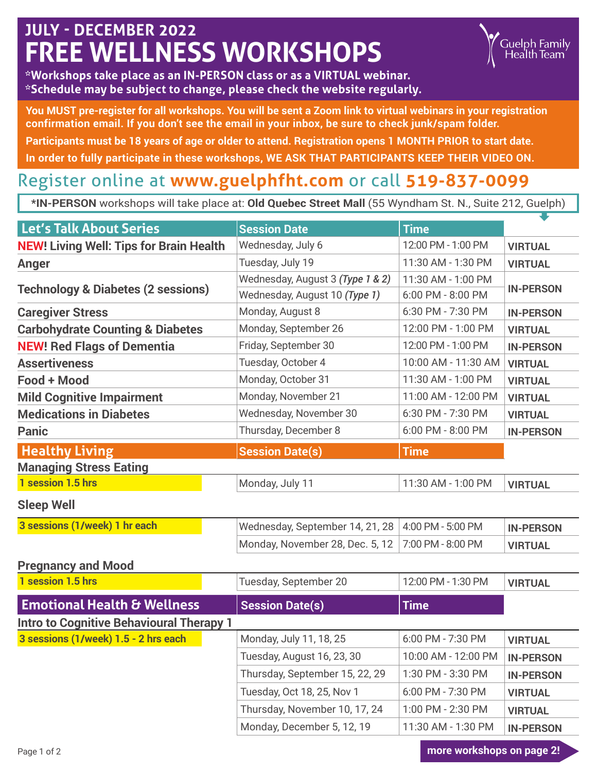## **JULY - DECEMBER 2022 FREE WELLNESS WORKSHOPS**



**You MUST pre-register for all workshops. You will be sent a Zoom link to virtual webinars in your registration confirmation email. If you don't see the email in your inbox, be sure to check junk/spam folder. Participants must be 18 years of age or older to attend. Registration opens 1 MONTH PRIOR to start date. In order to fully participate in these workshops, WE ASK THAT PARTICIPANTS KEEP THEIR VIDEO ON.**

#### Register online at **www.guelphfht.com** or call **519-837-0099**

**\*IN-PERSON** workshops will take place at: **Old Quebec Street Mall** (55 Wyndham St. N., Suite 212, Guelph)

| Let's Talk About Series                         | <b>Session Date</b>              | <b>Time</b>         |                  |  |
|-------------------------------------------------|----------------------------------|---------------------|------------------|--|
| <b>NEW! Living Well: Tips for Brain Health</b>  | Wednesday, July 6                | 12:00 PM - 1:00 PM  | <b>VIRTUAL</b>   |  |
| <b>Anger</b>                                    | Tuesday, July 19                 | 11:30 AM - 1:30 PM  | <b>VIRTUAL</b>   |  |
|                                                 | Wednesday, August 3 (Type 1 & 2) | 11:30 AM - 1:00 PM  | <b>IN-PERSON</b> |  |
| <b>Technology &amp; Diabetes (2 sessions)</b>   | Wednesday, August 10 (Type 1)    | 6:00 PM - 8:00 PM   |                  |  |
| <b>Caregiver Stress</b>                         | Monday, August 8                 | 6:30 PM - 7:30 PM   | <b>IN-PERSON</b> |  |
| <b>Carbohydrate Counting &amp; Diabetes</b>     | Monday, September 26             | 12:00 PM - 1:00 PM  | <b>VIRTUAL</b>   |  |
| <b>NEW! Red Flags of Dementia</b>               | Friday, September 30             | 12:00 PM - 1:00 PM  | <b>IN-PERSON</b> |  |
| <b>Assertiveness</b>                            | Tuesday, October 4               | 10:00 AM - 11:30 AM | <b>VIRTUAL</b>   |  |
| Food + Mood                                     | Monday, October 31               | 11:30 AM - 1:00 PM  | <b>VIRTUAL</b>   |  |
| <b>Mild Cognitive Impairment</b>                | Monday, November 21              | 11:00 AM - 12:00 PM | <b>VIRTUAL</b>   |  |
| <b>Medications in Diabetes</b>                  | Wednesday, November 30           | 6:30 PM - 7:30 PM   | <b>VIRTUAL</b>   |  |
| <b>Panic</b>                                    | Thursday, December 8             | 6:00 PM - 8:00 PM   | <b>IN-PERSON</b> |  |
| <b>Healthy Living</b>                           | <b>Session Date(s)</b>           | <b>Time</b>         |                  |  |
| <b>Managing Stress Eating</b>                   |                                  |                     |                  |  |
| 1 session 1.5 hrs                               | Monday, July 11                  | 11:30 AM - 1:00 PM  | <b>VIRTUAL</b>   |  |
| <b>Sleep Well</b>                               |                                  |                     |                  |  |
| 3 sessions (1/week) 1 hr each                   | Wednesday, September 14, 21, 28  | 4:00 PM - 5:00 PM   | <b>IN-PERSON</b> |  |
|                                                 | Monday, November 28, Dec. 5, 12  | 7:00 PM - 8:00 PM   | <b>VIRTUAL</b>   |  |
| <b>Pregnancy and Mood</b>                       |                                  |                     |                  |  |
| 1 session 1.5 hrs                               | Tuesday, September 20            | 12:00 PM - 1:30 PM  | <b>VIRTUAL</b>   |  |
| <b>Emotional Health &amp; Wellness</b>          | <b>Session Date(s)</b>           | <b>Time</b>         |                  |  |
| <b>Intro to Cognitive Behavioural Therapy 1</b> |                                  |                     |                  |  |
| 3 sessions (1/week) 1.5 - 2 hrs each            | Monday, July 11, 18, 25          | 6:00 PM - 7:30 PM   | <b>VIRTUAL</b>   |  |
|                                                 | Tuesday, August 16, 23, 30       | 10:00 AM - 12:00 PM | <b>IN-PERSON</b> |  |
|                                                 | Thursday, September 15, 22, 29   | 1:30 PM - 3:30 PM   | <b>IN-PERSON</b> |  |
|                                                 | Tuesday, Oct 18, 25, Nov 1       | 6:00 PM - 7:30 PM   | <b>VIRTUAL</b>   |  |
|                                                 | Thursday, November 10, 17, 24    | 1:00 PM - 2:30 PM   | <b>VIRTUAL</b>   |  |
|                                                 | Monday, December 5, 12, 19       | 11:30 AM - 1:30 PM  | <b>IN-PERSON</b> |  |

Page 1 of 2 **more workshops on page 2!**

Guelph Family<br>Health Team